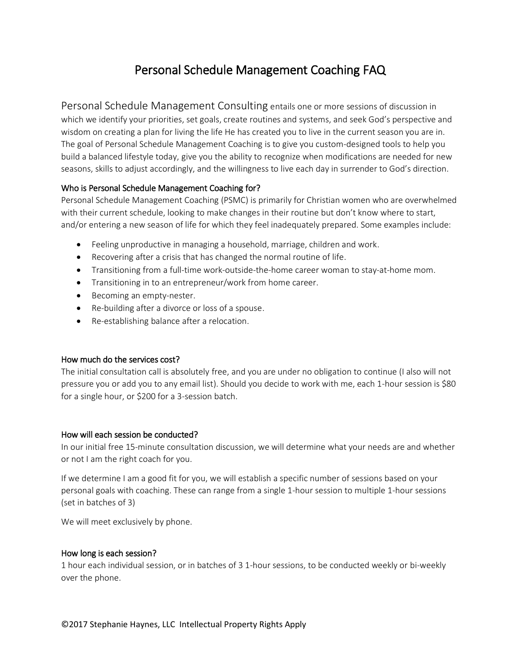# Personal Schedule Management Coaching FAQ

Personal Schedule Management Consulting entails one or more sessions of discussion in which we identify your priorities, set goals, create routines and systems, and seek God's perspective and wisdom on creating a plan for living the life He has created you to live in the current season you are in. The goal of Personal Schedule Management Coaching is to give you custom-designed tools to help you build a balanced lifestyle today, give you the ability to recognize when modifications are needed for new seasons, skills to adjust accordingly, and the willingness to live each day in surrender to God's direction.

## Who is Personal Schedule Management Coaching for?

Personal Schedule Management Coaching (PSMC) is primarily for Christian women who are overwhelmed with their current schedule, looking to make changes in their routine but don't know where to start, and/or entering a new season of life for which they feel inadequately prepared. Some examples include:

- Feeling unproductive in managing a household, marriage, children and work.
- Recovering after a crisis that has changed the normal routine of life.
- Transitioning from a full-time work-outside-the-home career woman to stay-at-home mom.
- Transitioning in to an entrepreneur/work from home career.
- Becoming an empty-nester.
- Re-building after a divorce or loss of a spouse.
- Re-establishing balance after a relocation.

## How much do the services cost?

The initial consultation call is absolutely free, and you are under no obligation to continue (I also will not pressure you or add you to any email list). Should you decide to work with me, each 1-hour session is \$80 for a single hour, or \$200 for a 3-session batch.

## How will each session be conducted?

In our initial free 15-minute consultation discussion, we will determine what your needs are and whether or not I am the right coach for you.

If we determine I am a good fit for you, we will establish a specific number of sessions based on your personal goals with coaching. These can range from a single 1-hour session to multiple 1-hour sessions (set in batches of 3)

We will meet exclusively by phone.

## How long is each session?

1 hour each individual session, or in batches of 3 1-hour sessions, to be conducted weekly or bi-weekly over the phone.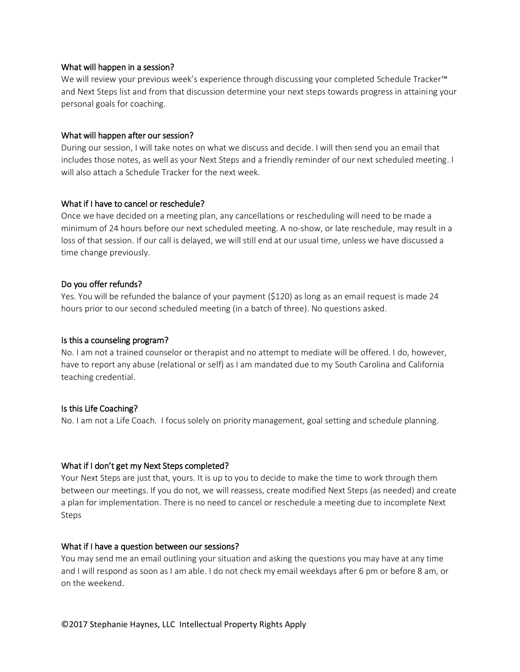#### What will happen in a session?

We will review your previous week's experience through discussing your completed Schedule Tracker™ and Next Steps list and from that discussion determine your next steps towards progress in attaining your personal goals for coaching.

#### What will happen after our session?

During our session, I will take notes on what we discuss and decide. I will then send you an email that includes those notes, as well as your Next Steps and a friendly reminder of our next scheduled meeting. I will also attach a Schedule Tracker for the next week.

#### What if I have to cancel or reschedule?

Once we have decided on a meeting plan, any cancellations or rescheduling will need to be made a minimum of 24 hours before our next scheduled meeting. A no-show, or late reschedule, may result in a loss of that session. If our call is delayed, we will still end at our usual time, unless we have discussed a time change previously.

#### Do you offer refunds?

Yes. You will be refunded the balance of your payment (\$120) as long as an email request is made 24 hours prior to our second scheduled meeting (in a batch of three). No questions asked.

#### Is this a counseling program?

No. I am not a trained counselor or therapist and no attempt to mediate will be offered. I do, however, have to report any abuse (relational or self) as I am mandated due to my South Carolina and California teaching credential.

## Is this Life Coaching?

No. I am not a Life Coach. I focus solely on priority management, goal setting and schedule planning.

## What if I don't get my Next Steps completed?

Your Next Steps are just that, yours. It is up to you to decide to make the time to work through them between our meetings. If you do not, we will reassess, create modified Next Steps (as needed) and create a plan for implementation. There is no need to cancel or reschedule a meeting due to incomplete Next Steps

#### What if I have a question between our sessions?

You may send me an email outlining your situation and asking the questions you may have at any time and I will respond as soon as I am able. I do not check my email weekdays after 6 pm or before 8 am, or on the weekend.